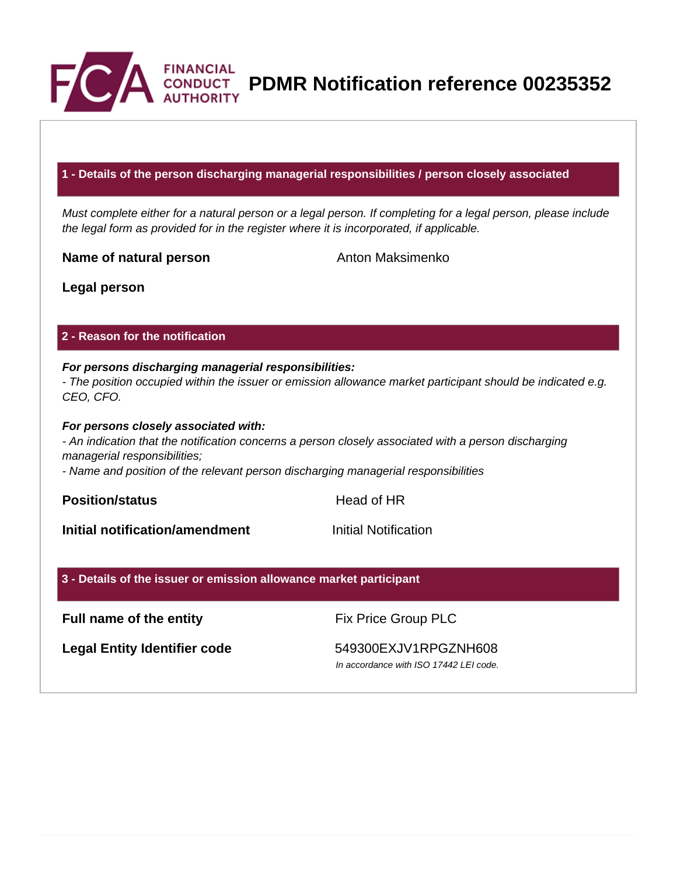

**PDMR Notification reference 00235352**

### **1 - Details of the person discharging managerial responsibilities / person closely associated**

Must complete either for a natural person or a legal person. If completing for a legal person, please include the legal form as provided for in the register where it is incorporated, if applicable.

**Name of natural person** Anton Maksimenko

**Legal person**

## **2 - Reason for the notification**

# **For persons discharging managerial responsibilities:**

- The position occupied within the issuer or emission allowance market participant should be indicated e.g. CEO, CFO.

### **For persons closely associated with:**

- An indication that the notification concerns a person closely associated with a person discharging managerial responsibilities;

- Name and position of the relevant person discharging managerial responsibilities

**Position/status Head of HR** 

**Initial notification/amendment Initial Notification** 

## **3 - Details of the issuer or emission allowance market participant**

# **Full name of the entity** Fix Price Group PLC

Legal Entity Identifier code 549300EXJV1RPGZNH608

In accordance with ISO 17442 LEI code.